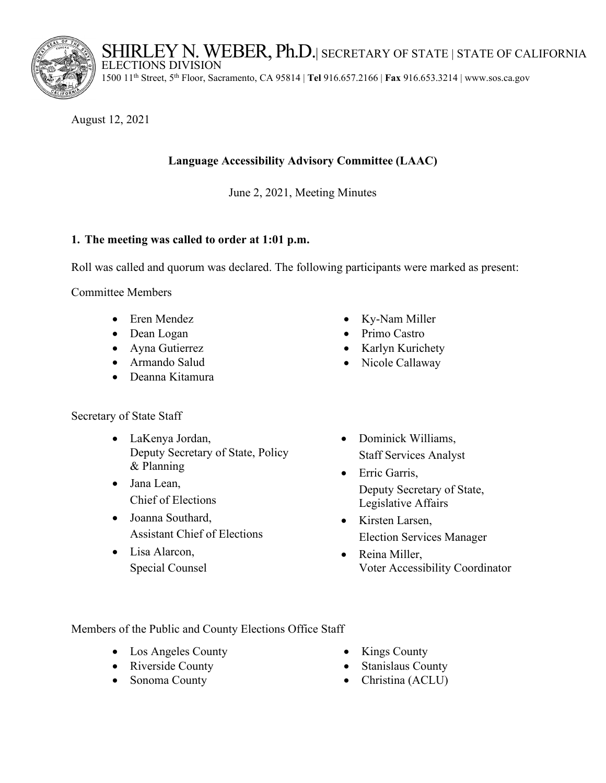SHIRLEY N. WEBER, Ph.D.| SECRETARY OF STATE | STATE OF CALIFORNIA



ELECTIONS DIVISION

1500 11th Street, 5th Floor, Sacramento, CA 95814 | **Tel** 916.657.2166 | **Fax** 916.653.3214 | <www.sos.ca.gov>

August 12, 2021

# **Language Accessibility Advisory Committee (LAAC)**

June 2, 2021, Meeting Minutes

## **1. The meeting was called to order at 1:01 p.m.**

Roll was called and quorum was declared. The following participants were marked as present:

Committee Members

- Eren Mendez
- Dean Logan
- Ayna Gutierrez
- Armando Salud
- Deanna Kitamura

Secretary of State Staff

- LaKenya Jordan, Deputy Secretary of State, Policy & Planning
- Jana Lean, Chief of Elections
- Joanna Southard, Assistant Chief of Elections
- Lisa Alarcon, Special Counsel
- Ky-Nam Miller
- Primo Castro
- Karlyn Kurichety
- Nicole Callaway
- Dominick Williams, Staff Services Analyst
- Erric Garris, Deputy Secretary of State, Legislative Affairs
- Kirsten Larsen, Election Services Manager
- Reina Miller, Voter Accessibility Coordinator

Members of the Public and County Elections Office Staff

- Los Angeles County Kings County
- 
- 
- 
- Riverside County Stanislaus County
- Sonoma County Christina (ACLU)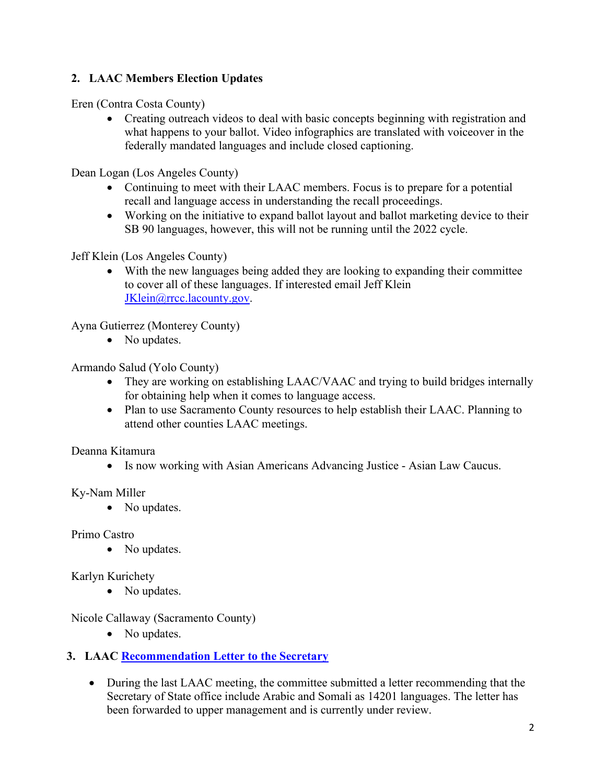# **2. LAAC Members Election Updates**

Eren (Contra Costa County)

• Creating outreach videos to deal with basic concepts beginning with registration and what happens to your ballot. Video infographics are translated with voiceover in the federally mandated languages and include closed captioning.

Dean Logan (Los Angeles County)

- Continuing to meet with their LAAC members. Focus is to prepare for a potential recall and language access in understanding the recall proceedings.
- Working on the initiative to expand ballot layout and ballot marketing device to their SB 90 languages, however, this will not be running until the 2022 cycle.

Jeff Klein (Los Angeles County)

• With the new languages being added they are looking to expanding their committee to cover all of these languages. If interested email Jeff Klein [JKlein@rrcc.lacounty.gov.](mailto:JKlein@rrcc.lacounty.gov)

Ayna Gutierrez (Monterey County)

• No updates.

Armando Salud (Yolo County)

- • They are working on establishing LAAC/VAAC and trying to build bridges internally for obtaining help when it comes to language access.
- Plan to use Sacramento County resources to help establish their LAAC. Planning to attend other counties LAAC meetings.

Deanna Kitamura

• Is now working with Asian Americans Advancing Justice - Asian Law Caucus.

Ky-Nam Miller

• No updates. Primo Castro

• No updates.

### Karlyn Kurichety

• No updates.

Nicole Callaway (Sacramento County)

• No updates.

### **3. LAAC Recommendation Letter to the Secretary**

• During the last LAAC meeting, the committee submitted a letter recommending that the Secretary of State office include Arabic and Somali as 14201 languages. The letter has been forwarded to upper management and is currently under review.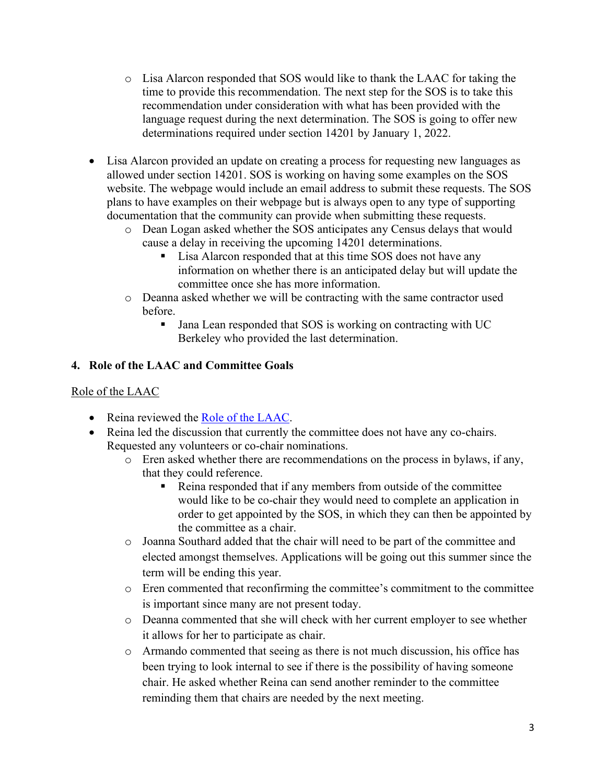- time to provide this recommendation. The next step for the SOS is to take this o Lisa Alarcon responded that SOS would like to thank the LAAC for taking the recommendation under consideration with what has been provided with the language request during the next determination. The SOS is going to offer new determinations required under section 14201 by January 1, 2022.
- website. The webpage would include an email address to submit these requests. The SOS • Lisa Alarcon provided an update on creating a process for requesting new languages as allowed under section 14201. SOS is working on having some examples on the SOS plans to have examples on their webpage but is always open to any type of supporting documentation that the community can provide when submitting these requests.
	- o Dean Logan asked whether the SOS anticipates any Census delays that would cause a delay in receiving the upcoming 14201 determinations.
		- **Lisa Alarcon responded that at this time SOS does not have any** information on whether there is an anticipated delay but will update the committee once she has more information.
	- o Deanna asked whether we will be contracting with the same contractor used before.
		- **Jana Lean responded that SOS is working on contracting with UC** Berkeley who provided the last determination.

# **4. Role of the LAAC and Committee Goals**

# Role of the LAAC

- Reina reviewed the Role of the LAAC.
- Reina led the discussion that currently the committee does not have any co-chairs. Requested any volunteers or co-chair nominations.
	- o Eren asked whether there are recommendations on the process in bylaws, if any, that they could reference.
		- Reina responded that if any members from outside of the committee would like to be co-chair they would need to complete an application in order to get appointed by the SOS, in which they can then be appointed by the committee as a chair.
	- o Joanna Southard added that the chair will need to be part of the committee and elected amongst themselves. Applications will be going out this summer since the term will be ending this year.
	- is important since many are not present today. o Eren commented that reconfirming the committee's commitment to the committee
	- o Deanna commented that she will check with her current employer to see whether it allows for her to participate as chair.
	- reminding them that chairs are needed by the next meeting. o Armando commented that seeing as there is not much discussion, his office has been trying to look internal to see if there is the possibility of having someone chair. He asked whether Reina can send another reminder to the committee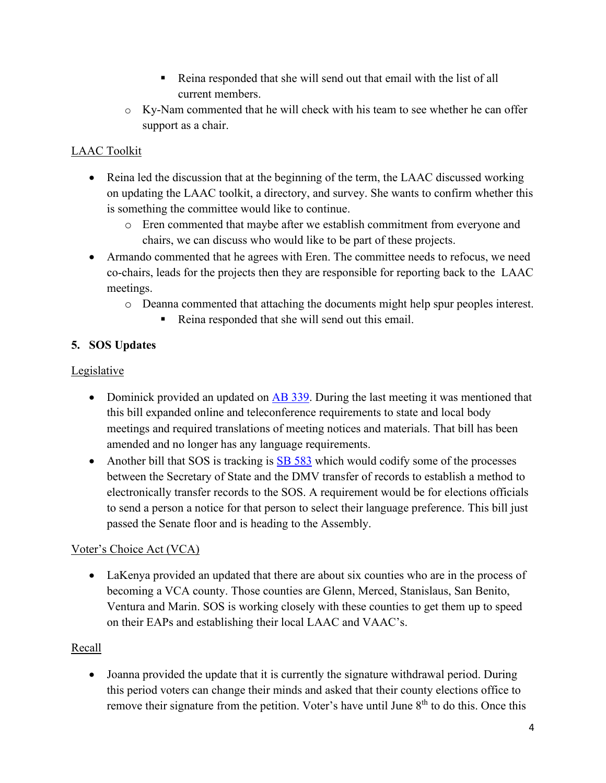- Reina responded that she will send out that email with the list of all current members.
- o Ky-Nam commented that he will check with his team to see whether he can offer support as a chair.

# LAAC Toolkit

- Reina led the discussion that at the beginning of the term, the LAAC discussed working on updating the LAAC toolkit, a directory, and survey. She wants to confirm whether this is something the committee would like to continue.
	- o Eren commented that maybe after we establish commitment from everyone and chairs, we can discuss who would like to be part of these projects.
- Armando commented that he agrees with Eren. The committee needs to refocus, we need co-chairs, leads for the projects then they are responsible for reporting back to the LAAC meetings.
	- o Deanna commented that attaching the documents might help spur peoples interest.
		- Reina responded that she will send out this email.

# **5. SOS Updates**

## Legislative

- Dominick provided an updated on [AB 339.](https://leginfo.legislature.ca.gov/faces/billNavClient.xhtml?bill_id=202120220AB339) During the last meeting it was mentioned that this bill expanded online and teleconference requirements to state and local body meetings and required translations of meeting notices and materials. That bill has been amended and no longer has any language requirements.
- Another bill that SOS is tracking is [SB 583](https://leginfo.legislature.ca.gov/faces/billTextClient.xhtml?bill_id=202120220SB583) which would codify some of the processes between the Secretary of State and the DMV transfer of records to establish a method to electronically transfer records to the SOS. A requirement would be for elections officials to send a person a notice for that person to select their language preference. This bill just passed the Senate floor and is heading to the Assembly.

## Voter's Choice Act (VCA)

 • LaKenya provided an updated that there are about six counties who are in the process of becoming a VCA county. Those counties are Glenn, Merced, Stanislaus, San Benito, Ventura and Marin. SOS is working closely with these counties to get them up to speed on their EAPs and establishing their local LAAC and VAAC's.

### Recall

• Joanna provided the update that it is currently the signature withdrawal period. During this period voters can change their minds and asked that their county elections office to remove their signature from the petition. Voter's have until June 8<sup>th</sup> to do this. Once this